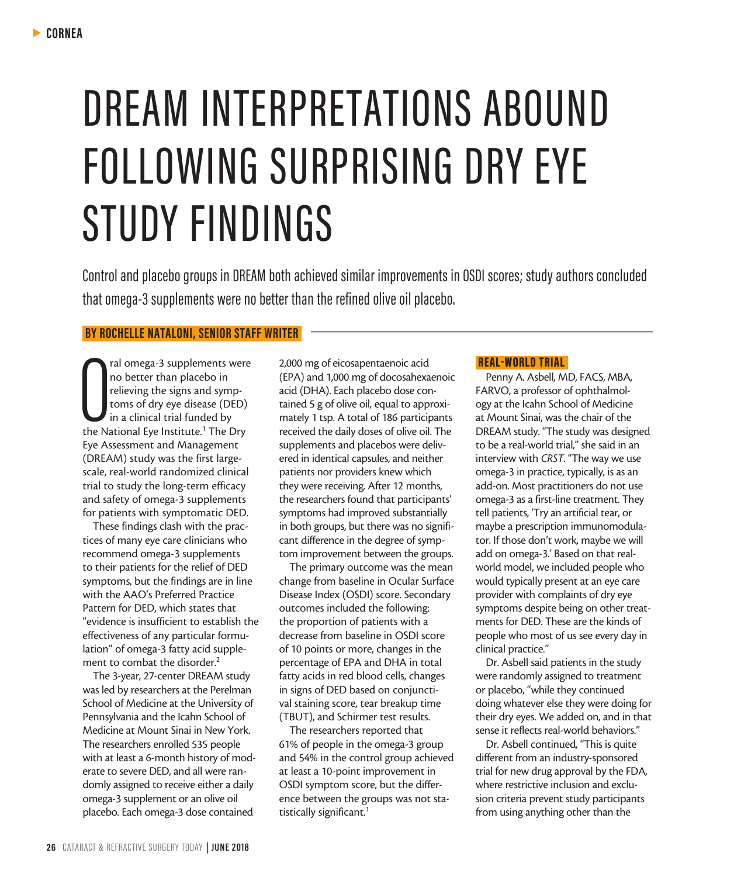# DREAM INTERPRETATIONS ABOUND FOLLOWING SURPRISING DRY EYE STUDY FINDINGS

Control and placebo groups in DREAM both achieved similar improvements in OSDI scores; study authors concluded that omega-3 supplements were no better than the refined olive oil placebo.

# **BY ROCHELLE NATALONI, SENIOR STAFF WRITER**

ral omega-3 supplements were<br>
no better than placebo in<br>
relieving the signs and symp-<br>
toms of dry eye disease (DED)<br>
in a clinical trial funded by<br>
the National Eye Institute.<sup>1</sup> The Dry ral omega-3 supplements were no better than placebo in relieving the signs and symptoms of dry eye disease (DED) In a clinical trial funded by Eye Assessment and Management (DREAM) study was the first largescale, real-world randomized clinical trial to study the long-term efficacy and safety of omega-3 supplements for patients with symptomatic DED.

These findings clash with the practices of many eye care clinicians who recommend omega-3 supplements to their patients for the relief of DED symptoms, but the findings are in line with the AAO's Preferred Practice Pattern for DED, which states that "evidence is insufficient to establish the effectiveness of any particular formulation" of omega-3 fatty acid supplement to combat the disorder.<sup>2</sup>

The 3-year, 27-center DREAM study was led by researchers at the Perelman School of Medicine at the University of Pennsylvania and the Icahn School of Medicine at Mount Sinai in New York. The researchers enrolled 535 people with at least a 6-month history of moderate to severe DED, and all were randomly assigned to receive either a daily omega-3 supplement or an olive oil placebo. Each omega-3 dose contained

2,000 mg of eicosapentaenoic acid (EPA) and 1,000 mg of docosahexaenoic acid (DHA). Each placebo dose contained 5 g of olive oil, equal to approximately 1 tsp. A total of 186 participants received the daily doses of olive oil. The supplements and placebos were delivered in identical capsules, and neither patients nor providers knew which they were receiving. After 12 months, the researchers found that participants' symptoms had improved substantially in both groups, but there was no significant difference in the degree of symptom improvement between the groups.

The primary outcome was the mean change from baseline in Ocular Surface Disease Index (OSDI) score. Secondary outcomes included the following: the proportion of patients with a decrease from baseline in OSDI score of 10 points or more, changes in the percentage of EPA and DHA in total fatty acids in red blood cells, changes in signs of DED based on conjunctival staining score, tear breakup time (TBUT), and Schirmer test results.

The researchers reported that 61% of people in the omega-3 group and 54% in the control group achieved at least a 10-point improvement in OSDI symptom score, but the difference between the groups was not statistically significant.<sup>1</sup>

#### REAL-WORLD TRIAL

Penny A. Asbell, MD, FACS, MBA, FARVO, a professor of ophthalmology at the Icahn School of Medicine at Mount Sinai, was the chair of the DREAM study. "The study was designed to be a real-world trial," she said in an interview with *CRST*. "The way we use omega-3 in practice, typically, is as an add-on. Most practitioners do not use omega-3 as a first-line treatment. They tell patients, 'Try an artificial tear, or maybe a prescription immunomodulator. If those don't work, maybe we will add on omega-3.' Based on that realworld model, we included people who would typically present at an eye care provider with complaints of dry eye symptoms despite being on other treatments for DED. These are the kinds of people who most of us see every day in clinical practice."

Dr. Asbell said patients in the study were randomly assigned to treatment or placebo, "while they continued doing whatever else they were doing for their dry eyes. We added on, and in that sense it reflects real-world behaviors."

Dr. Asbell continued, "This is quite different from an industry-sponsored trial for new drug approval by the FDA, where restrictive inclusion and exclusion criteria prevent study participants from using anything other than the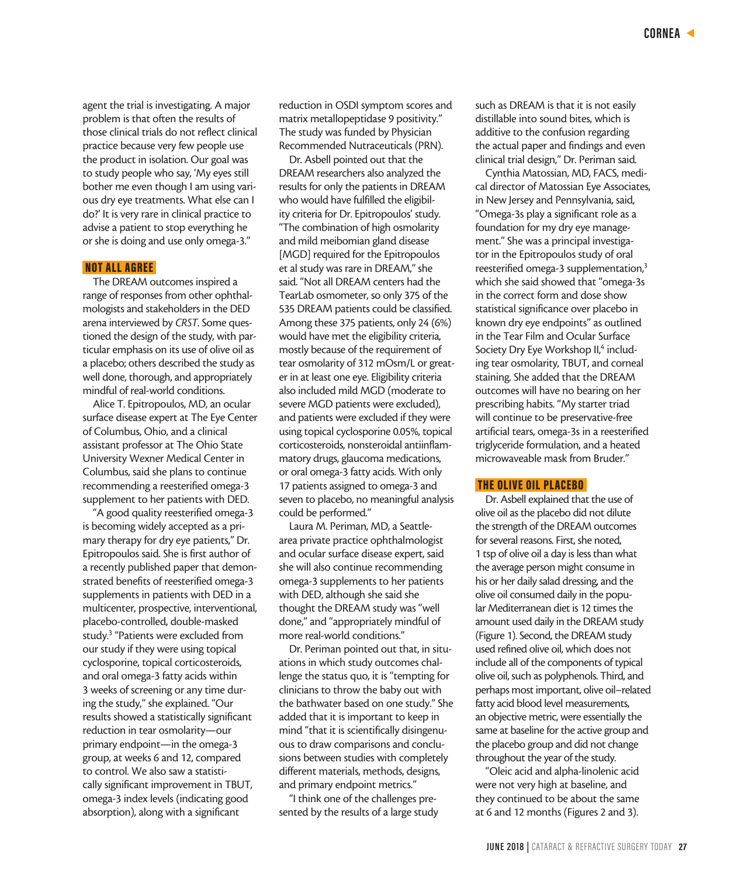agent the trial is investigating. A major problem is that often the results of those clinical trials do not reflect clinical practice because very few people use the product in isolation. Our goal was to study people who say, 'My eyes still bother me even though I am using various dry eye treatments. What else can I do?' It is very rare in clinical practice to advise a patient to stop everything he or she is doing and use only omega-3."

### NOT ALL AGREE

The DREAM outcomes inspired a range of responses from other ophthalmologists and stakeholders in the DED arena interviewed by *CRST*. Some questioned the design of the study, with particular emphasis on its use of olive oil as a placebo; others described the study as well done, thorough, and appropriately mindful of real-world conditions.

Alice T. Epitropoulos, MD, an ocular surface disease expert at The Eye Center of Columbus, Ohio, and a clinical assistant professor at The Ohio State University Wexner Medical Center in Columbus, said she plans to continue recommending a reesterified omega-3 supplement to her patients with DED.

"A good quality reesterified omega-3 is becoming widely accepted as a primary therapy for dry eye patients," Dr. Epitropoulos said. She is first author of a recently published paper that demonstrated benefits of reesterified omega-3 supplements in patients with DED in a multicenter, prospective, interventional, placebo-controlled, double-masked study.<sup>3</sup> "Patients were excluded from our study if they were using topical cyclosporine, topical corticosteroids, and oral omega-3 fatty acids within 3 weeks of screening or any time during the study," she explained. "Our results showed a statistically significant reduction in tear osmolarity—our primary endpoint—in the omega-3 group, at weeks 6 and 12, compared to control. We also saw a statistically significant improvement in TBUT, omega-3 index levels (indicating good absorption), along with a significant

reduction in OSDI symptom scores and matrix metallopeptidase 9 positivity." The study was funded by Physician Recommended Nutraceuticals (PRN).

Dr. Asbell pointed out that the DREAM researchers also analyzed the results for only the patients in DREAM who would have fulfilled the eligibility criteria for Dr. Epitropoulos' study. "The combination of high osmolarity and mild meibomian gland disease [MGD] required for the Epitropoulos et al study was rare in DREAM," she said. "Not all DREAM centers had the TearLab osmometer, so only 375 of the 535 DREAM patients could be classified. Among these 375 patients, only 24 (6%) would have met the eligibility criteria, mostly because of the requirement of tear osmolarity of 312 mOsm/L or greater in at least one eye. Eligibility criteria also included mild MGD (moderate to severe MGD patients were excluded), and patients were excluded if they were using topical cyclosporine 0.05%, topical corticosteroids, nonsteroidal antiinflammatory drugs, glaucoma medications, or oral omega-3 fatty acids. With only 17 patients assigned to omega-3 and seven to placebo, no meaningful analysis could be performed."

Laura M. Periman, MD, a Seattlearea private practice ophthalmologist and ocular surface disease expert, said she will also continue recommending omega-3 supplements to her patients with DED, although she said she thought the DREAM study was "well done," and "appropriately mindful of more real-world conditions."

Dr. Periman pointed out that, in situations in which study outcomes challenge the status quo, it is "tempting for clinicians to throw the baby out with the bathwater based on one study." She added that it is important to keep in mind "that it is scientifically disingenuous to draw comparisons and conclusions between studies with completely different materials, methods, designs, and primary endpoint metrics."

"I think one of the challenges presented by the results of a large study such as DREAM is that it is not easily distillable into sound bites, which is additive to the confusion regarding the actual paper and findings and even clinical trial design," Dr. Periman said.

Cynthia Matossian, MD, FACS, medical director of Matossian Eye Associates, in New Jersey and Pennsylvania, said, "Omega-3s play a significant role as a foundation for my dry eye management." She was a principal investigator in the Epitropoulos study of oral reesterified omega-3 supplementation,<sup>3</sup> which she said showed that "omega-3s in the correct form and dose show statistical significance over placebo in known dry eye endpoints" as outlined in the Tear Film and Ocular Surface Society Dry Eye Workshop II,<sup>4</sup> including tear osmolarity, TBUT, and corneal staining. She added that the DREAM outcomes will have no bearing on her prescribing habits. "My starter triad will continue to be preservative-free artificial tears, omega-3s in a reesterified triglyceride formulation, and a heated microwaveable mask from Bruder."

#### THE OLIVE OIL PLACEBO

Dr. Asbell explained that the use of olive oil as the placebo did not dilute the strength of the DREAM outcomes for several reasons. First, she noted, 1 tsp of olive oil a day is less than what the average person might consume in his or her daily salad dressing, and the olive oil consumed daily in the popular Mediterranean diet is 12 times the amount used daily in the DREAM study (Figure 1). Second, the DREAM study used refined olive oil, which does not include all of the components of typical olive oil, such as polyphenols. Third, and perhaps most important, olive oil–related fatty acid blood level measurements, an objective metric, were essentially the same at baseline for the active group and the placebo group and did not change throughout the year of the study.

"Oleic acid and alpha-linolenic acid were not very high at baseline, and they continued to be about the same at 6 and 12 months (Figures 2 and 3).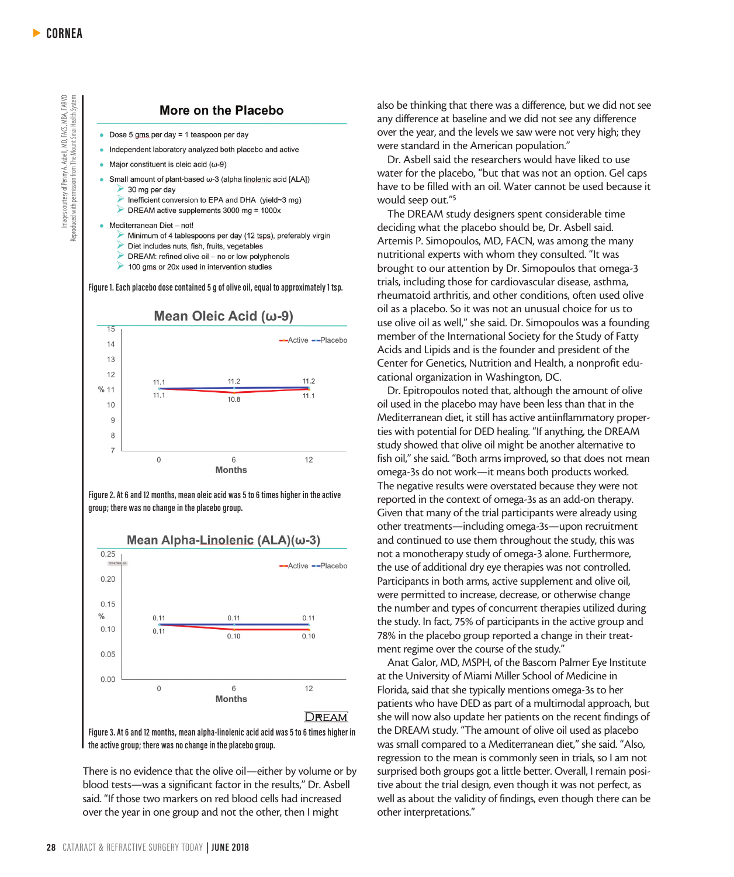Images courtesy of Penny A. Asbell, MD, FACS, MBA, FARVO<br>Reproduced with permission from The Mount Sinai Health System Images courtesy of Penny A. Asbell, MD, FACS, MBA, FARVO Reproduced with permission from The Mount Sinai Health System

#### **More on the Placebo**

- Dose 5 gms per day = 1 teaspoon per day
- Independent laboratory analyzed both placebo and active
- Major constituent is oleic acid ( $\omega$ -9)
	- Small amount of plant-based ω-3 (alpha linolenic acid [ALA])  $\rightarrow$  30 mg per day
	- Inefficient conversion to EPA and DHA (yield~3 mg)
	- DREAM active supplements 3000 mg = 1000x
- Mediterranean Diet not!
	- Minimum of 4 tablespoons per day (12 tsps), preferably virgin
	- Diet includes nuts, fish, fruits, vegetables
	- > DREAM: refined olive oil no or low polyphenols
	- $\triangleright$  100 gms or 20x used in intervention studies

**Figure 1. Each placebo dose contained 5 g of olive oil, equal to approximately 1 tsp.**



**Figure 2. At 6 and 12 months, mean oleic acid was 5 to 6 times higher in the active group; there was no change in the placebo group.**

Mean Alpha-Linolenic (ALA)(ω-3)  $0.25$ -Active -- Placebo  $0.20$  $0.15$  $\frac{0}{0}$  $0.11$  $0.11$  $0.11$  $0.10$  $0.11$  $0.10$  $0.10$  $0.05$  $0.00$  $\Omega$  $6\overline{6}$  $12$ **Months DREAM Figure 3. At 6 and 12 months, mean alpha-linolenic acid acid was 5 to 6 times higher in the active group; there was no change in the placebo group.**

There is no evidence that the olive oil—either by volume or by blood tests—was a significant factor in the results," Dr. Asbell said. "If those two markers on red blood cells had increased over the year in one group and not the other, then I might

also be thinking that there was a difference, but we did not see any difference at baseline and we did not see any difference over the year, and the levels we saw were not very high; they were standard in the American population."

Dr. Asbell said the researchers would have liked to use water for the placebo, "but that was not an option. Gel caps have to be filled with an oil. Water cannot be used because it would seep out."5

The DREAM study designers spent considerable time deciding what the placebo should be, Dr. Asbell said. Artemis P. Simopoulos, MD, FACN, was among the many nutritional experts with whom they consulted. "It was brought to our attention by Dr. Simopoulos that omega-3 trials, including those for cardiovascular disease, asthma, rheumatoid arthritis, and other conditions, often used olive oil as a placebo. So it was not an unusual choice for us to use olive oil as well," she said. Dr. Simopoulos was a founding member of the International Society for the Study of Fatty Acids and Lipids and is the founder and president of the Center for Genetics, Nutrition and Health, a nonprofit educational organization in Washington, DC.

Dr. Epitropoulos noted that, although the amount of olive oil used in the placebo may have been less than that in the Mediterranean diet, it still has active antiinflammatory properties with potential for DED healing. "If anything, the DREAM study showed that olive oil might be another alternative to fish oil," she said. "Both arms improved, so that does not mean omega-3s do not work—it means both products worked. The negative results were overstated because they were not reported in the context of omega-3s as an add-on therapy. Given that many of the trial participants were already using other treatments—including omega-3s—upon recruitment and continued to use them throughout the study, this was not a monotherapy study of omega-3 alone. Furthermore, the use of additional dry eye therapies was not controlled. Participants in both arms, active supplement and olive oil, were permitted to increase, decrease, or otherwise change the number and types of concurrent therapies utilized during the study. In fact, 75% of participants in the active group and 78% in the placebo group reported a change in their treatment regime over the course of the study."

Anat Galor, MD, MSPH, of the Bascom Palmer Eye Institute at the University of Miami Miller School of Medicine in Florida, said that she typically mentions omega-3s to her patients who have DED as part of a multimodal approach, but she will now also update her patients on the recent findings of the DREAM study. "The amount of olive oil used as placebo was small compared to a Mediterranean diet," she said. "Also, regression to the mean is commonly seen in trials, so I am not surprised both groups got a little better. Overall, I remain positive about the trial design, even though it was not perfect, as well as about the validity of findings, even though there can be other interpretations."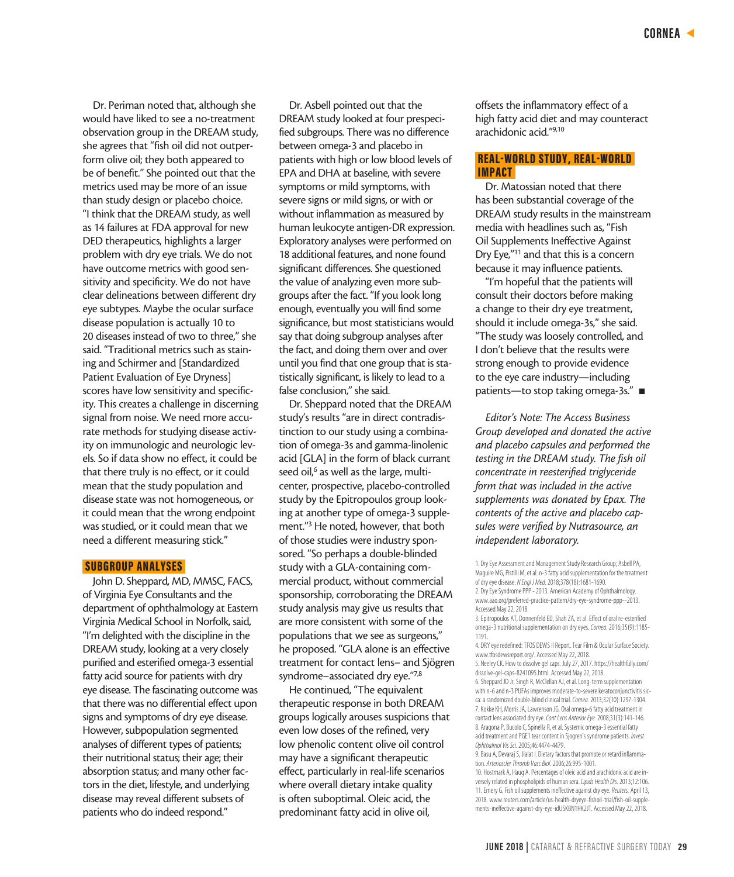Dr. Periman noted that, although she would have liked to see a no-treatment observation group in the DREAM study, she agrees that "fish oil did not outperform olive oil; they both appeared to be of benefit." She pointed out that the metrics used may be more of an issue than study design or placebo choice. "I think that the DREAM study, as well as 14 failures at FDA approval for new DED therapeutics, highlights a larger problem with dry eye trials. We do not have outcome metrics with good sensitivity and specificity. We do not have clear delineations between different dry eye subtypes. Maybe the ocular surface disease population is actually 10 to 20 diseases instead of two to three," she said. "Traditional metrics such as staining and Schirmer and [Standardized Patient Evaluation of Eye Dryness] scores have low sensitivity and specificity. This creates a challenge in discerning signal from noise. We need more accurate methods for studying disease activity on immunologic and neurologic levels. So if data show no effect, it could be that there truly is no effect, or it could mean that the study population and disease state was not homogeneous, or it could mean that the wrong endpoint was studied, or it could mean that we need a different measuring stick."

#### SUBGROUP ANALYSES

John D. Sheppard, MD, MMSC, FACS, of Virginia Eye Consultants and the department of ophthalmology at Eastern Virginia Medical School in Norfolk, said, "I'm delighted with the discipline in the DREAM study, looking at a very closely purified and esterified omega-3 essential fatty acid source for patients with dry eye disease. The fascinating outcome was that there was no differential effect upon signs and symptoms of dry eye disease. However, subpopulation segmented analyses of different types of patients; their nutritional status; their age; their absorption status; and many other factors in the diet, lifestyle, and underlying disease may reveal different subsets of patients who do indeed respond."

Dr. Asbell pointed out that the DREAM study looked at four prespecified subgroups. There was no difference between omega-3 and placebo in patients with high or low blood levels of EPA and DHA at baseline, with severe symptoms or mild symptoms, with severe signs or mild signs, or with or without inflammation as measured by human leukocyte antigen-DR expression. Exploratory analyses were performed on 18 additional features, and none found significant differences. She questioned the value of analyzing even more subgroups after the fact. "If you look long enough, eventually you will find some significance, but most statisticians would say that doing subgroup analyses after the fact, and doing them over and over until you find that one group that is statistically significant, is likely to lead to a false conclusion," she said.

Dr. Sheppard noted that the DREAM study's results "are in direct contradistinction to our study using a combination of omega-3s and gamma-linolenic acid [GLA] in the form of black currant seed oil,<sup>6</sup> as well as the large, multicenter, prospective, placebo-controlled study by the Epitropoulos group looking at another type of omega-3 supplement."3 He noted, however, that both of those studies were industry sponsored. "So perhaps a double-blinded study with a GLA-containing commercial product, without commercial sponsorship, corroborating the DREAM study analysis may give us results that are more consistent with some of the populations that we see as surgeons," he proposed. "GLA alone is an effective treatment for contact lens– and Sjögren syndrome–associated dry eye."7,8

He continued, "The equivalent therapeutic response in both DREAM groups logically arouses suspicions that even low doses of the refined, very low phenolic content olive oil control may have a significant therapeutic effect, particularly in real-life scenarios where overall dietary intake quality is often suboptimal. Oleic acid, the predominant fatty acid in olive oil,

offsets the inflammatory effect of a high fatty acid diet and may counteract arachidonic acid."9,10

## REAL-WORLD STUDY, REAL-WORLD IMPACT

Dr. Matossian noted that there has been substantial coverage of the DREAM study results in the mainstream media with headlines such as, "Fish Oil Supplements Ineffective Against Dry Eye,"11 and that this is a concern because it may influence patients.

"I'm hopeful that the patients will consult their doctors before making a change to their dry eye treatment, should it include omega-3s," she said. "The study was loosely controlled, and I don't believe that the results were strong enough to provide evidence to the eye care industry—including patients—to stop taking omega-3s." ■

*Editor's Note: The Access Business Group developed and donated the active and placebo capsules and performed the testing in the DREAM study. The fish oil concentrate in reesterified triglyceride form that was included in the active supplements was donated by Epax. The contents of the active and placebo capsules were verified by Nutrasource, an independent laboratory.* 

6. Sheppard JD Jr, Singh R, McClellan AJ, et al. Long-term supplementation with n-6 and n-3 PUFAs improves moderate-to-severe keratoconjunctivitis sicca: a randomized double-blind clinical trial. *Cornea*. 2013;32(10):1297-1304. 7. Kokke KH, Morris JA, Lawrenson JG. Oral omega-6 fatty acid treatment in contact lens associated dry eye. *Cont Lens Anterior Eye.* 2008;31(3):141-146. 8. Aragona P, Bucolo C, Spinella R, et al. Systemic omega-3 essential fatty acid treatment and PGE1 tear content in Sjogren's syndrome patients. *Invest Ophthalmol Vis Sci.* 2005;46:4474-4479.

9. Basu A, Devaraj S, Jialat I. Dietary factors that promote or retard inflammation. *Arterioscler Thromb Vasc Biol*. 2006;26:995-1001.

10. Hostmark A, Haug A. Percentages of oleic acid and arachidonic acid are inversely related in phospholipids of human sera. *Lipids Health Dis*. 2013;12:106. 11. Emery G. Fish oil supplements ineffective against dry eye. *Reuters.* April 13, 2018. www.reuters.com/article/us-health-dryeye-fishoil-trial/fish-oil-supplements-ineffective-against-dry-eye-idUSKBN1HK2JT. Accessed May 22, 2018.

<sup>1.</sup> Dry Eye Assessment and Management Study Research Group; Asbell PA, Maguire MG, Pistilli M, et al. n-3 fatty acid supplementation for the treatment of dry eye disease. *N Engl J Med*. 2018;378(18):1681-1690.

<sup>2.</sup> Dry Eye Syndrome PPP - 2013. American Academy of Ophthalmology. www.aao.org/preferred-practice-pattern/dry-eye-syndrome-ppp--2013. Accessed May 22, 2018.

<sup>3.</sup> Epitropoulos AT, Donnenfeld ED, Shah ZA, et al. Effect of oral re-esterified omega-3 nutritional supplementation on dry eyes. *Cornea*. 2016;35(9):1185- 1191.

<sup>4.</sup> DRY eye redefined: TFOS DEWS II Report. Tear Film & Ocular Surface Society. www.tfosdewsreport.org/. Accessed May 22, 2018.

<sup>5.</sup> Neeley CK. How to dissolve gel caps. July 27, 2017. https://healthfully.com/ dissolve-gel-caps-8241095.html. Accessed May 22, 2018.